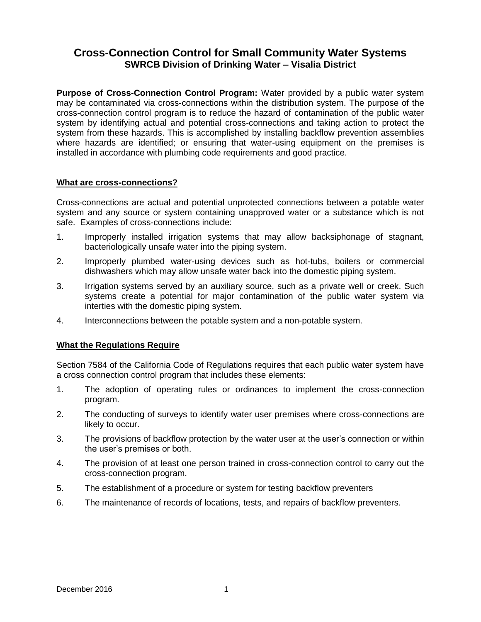# **Cross-Connection Control for Small Community Water Systems SWRCB Division of Drinking Water – Visalia District**

**Purpose of Cross-Connection Control Program:** Water provided by a public water system may be contaminated via cross-connections within the distribution system. The purpose of the cross-connection control program is to reduce the hazard of contamination of the public water system by identifying actual and potential cross-connections and taking action to protect the system from these hazards. This is accomplished by installing backflow prevention assemblies where hazards are identified; or ensuring that water-using equipment on the premises is installed in accordance with plumbing code requirements and good practice.

#### **What are cross-connections?**

Cross-connections are actual and potential unprotected connections between a potable water system and any source or system containing unapproved water or a substance which is not safe. Examples of cross-connections include:

- 1. Improperly installed irrigation systems that may allow backsiphonage of stagnant, bacteriologically unsafe water into the piping system.
- 2. Improperly plumbed water-using devices such as hot-tubs, boilers or commercial dishwashers which may allow unsafe water back into the domestic piping system.
- 3. Irrigation systems served by an auxiliary source, such as a private well or creek. Such systems create a potential for major contamination of the public water system via interties with the domestic piping system.
- 4. Interconnections between the potable system and a non-potable system.

# **What the Regulations Require**

Section 7584 of the California Code of Regulations requires that each public water system have a cross connection control program that includes these elements:

- 1. The adoption of operating rules or ordinances to implement the cross-connection program.
- 2. The conducting of surveys to identify water user premises where cross-connections are likely to occur.
- 3. The provisions of backflow protection by the water user at the user's connection or within the user's premises or both.
- 4. The provision of at least one person trained in cross-connection control to carry out the cross-connection program.
- 5. The establishment of a procedure or system for testing backflow preventers
- 6. The maintenance of records of locations, tests, and repairs of backflow preventers.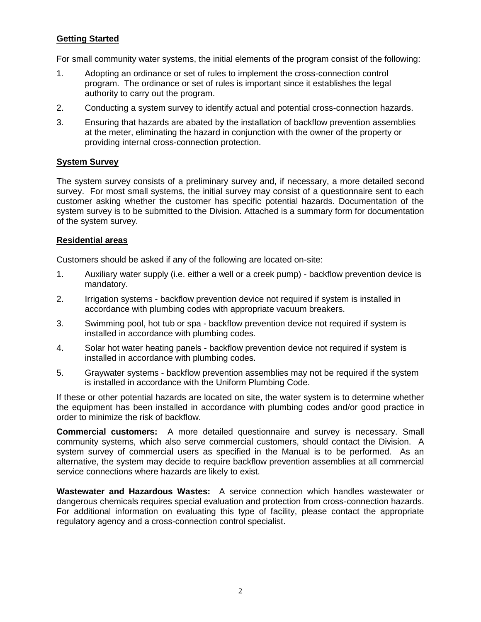# **Getting Started**

For small community water systems, the initial elements of the program consist of the following:

- 1. Adopting an ordinance or set of rules to implement the cross-connection control program. The ordinance or set of rules is important since it establishes the legal authority to carry out the program.
- 2. Conducting a system survey to identify actual and potential cross-connection hazards.
- 3. Ensuring that hazards are abated by the installation of backflow prevention assemblies at the meter, eliminating the hazard in conjunction with the owner of the property or providing internal cross-connection protection.

# **System Survey**

The system survey consists of a preliminary survey and, if necessary, a more detailed second survey. For most small systems, the initial survey may consist of a questionnaire sent to each customer asking whether the customer has specific potential hazards. Documentation of the system survey is to be submitted to the Division. Attached is a summary form for documentation of the system survey.

# **Residential areas**

Customers should be asked if any of the following are located on-site:

- 1. Auxiliary water supply (i.e. either a well or a creek pump) backflow prevention device is mandatory.
- 2. Irrigation systems backflow prevention device not required if system is installed in accordance with plumbing codes with appropriate vacuum breakers.
- 3. Swimming pool, hot tub or spa backflow prevention device not required if system is installed in accordance with plumbing codes.
- 4. Solar hot water heating panels backflow prevention device not required if system is installed in accordance with plumbing codes.
- 5. Graywater systems backflow prevention assemblies may not be required if the system is installed in accordance with the Uniform Plumbing Code.

If these or other potential hazards are located on site, the water system is to determine whether the equipment has been installed in accordance with plumbing codes and/or good practice in order to minimize the risk of backflow.

**Commercial customers:** A more detailed questionnaire and survey is necessary. Small community systems, which also serve commercial customers, should contact the Division. A system survey of commercial users as specified in the Manual is to be performed. As an alternative, the system may decide to require backflow prevention assemblies at all commercial service connections where hazards are likely to exist.

**Wastewater and Hazardous Wastes:** A service connection which handles wastewater or dangerous chemicals requires special evaluation and protection from cross-connection hazards. For additional information on evaluating this type of facility, please contact the appropriate regulatory agency and a cross-connection control specialist.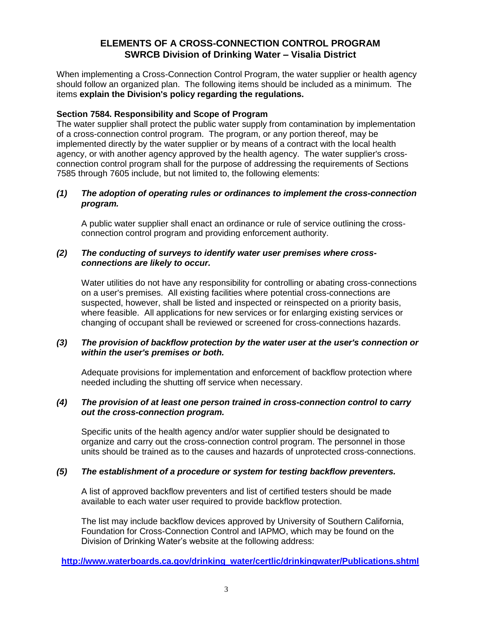# **ELEMENTS OF A CROSS-CONNECTION CONTROL PROGRAM SWRCB Division of Drinking Water – Visalia District**

When implementing a Cross-Connection Control Program, the water supplier or health agency should follow an organized plan. The following items should be included as a minimum. The items **explain the Division's policy regarding the regulations.** 

#### **Section 7584. Responsibility and Scope of Program**

The water supplier shall protect the public water supply from contamination by implementation of a cross-connection control program. The program, or any portion thereof, may be implemented directly by the water supplier or by means of a contract with the local health agency, or with another agency approved by the health agency. The water supplier's crossconnection control program shall for the purpose of addressing the requirements of Sections 7585 through 7605 include, but not limited to, the following elements:

#### *(1) The adoption of operating rules or ordinances to implement the cross-connection program.*

A public water supplier shall enact an ordinance or rule of service outlining the crossconnection control program and providing enforcement authority.

#### *(2) The conducting of surveys to identify water user premises where crossconnections are likely to occur.*

Water utilities do not have any responsibility for controlling or abating cross-connections on a user's premises. All existing facilities where potential cross-connections are suspected, however, shall be listed and inspected or reinspected on a priority basis, where feasible. All applications for new services or for enlarging existing services or changing of occupant shall be reviewed or screened for cross-connections hazards.

#### *(3) The provision of backflow protection by the water user at the user's connection or within the user's premises or both.*

Adequate provisions for implementation and enforcement of backflow protection where needed including the shutting off service when necessary.

#### *(4) The provision of at least one person trained in cross-connection control to carry out the cross-connection program.*

Specific units of the health agency and/or water supplier should be designated to organize and carry out the cross-connection control program. The personnel in those units should be trained as to the causes and hazards of unprotected cross-connections.

#### *(5) The establishment of a procedure or system for testing backflow preventers.*

A list of approved backflow preventers and list of certified testers should be made available to each water user required to provide backflow protection.

The list may include backflow devices approved by University of Southern California, Foundation for Cross-Connection Control and IAPMO, which may be found on the Division of Drinking Water's website at the following address:

#### **[http://www.waterboards.ca.gov/drinking\\_water/certlic/drinkingwater/Publications.shtml](http://www.waterboards.ca.gov/drinking_water/certlic/drinkingwater/Publications.shtml)**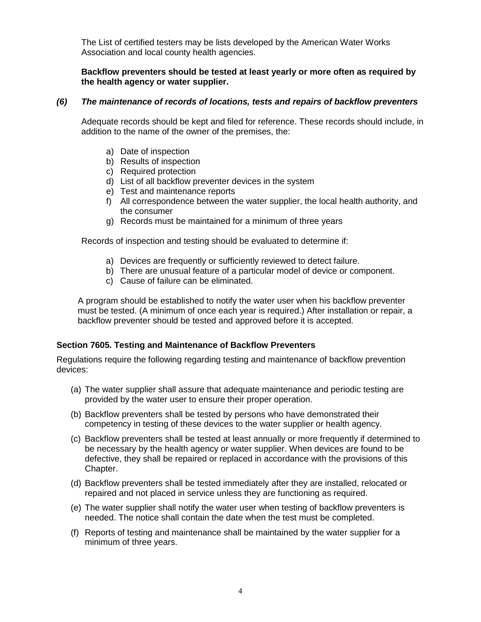The List of certified testers may be lists developed by the American Water Works Association and local county health agencies.

# **Backflow preventers should be tested at least yearly or more often as required by the health agency or water supplier.**

#### *(6) The maintenance of records of locations, tests and repairs of backflow preventers*

Adequate records should be kept and filed for reference. These records should include, in addition to the name of the owner of the premises, the:

- a) Date of inspection
- b) Results of inspection
- c) Required protection
- d) List of all backflow preventer devices in the system
- e) Test and maintenance reports
- f) All correspondence between the water supplier, the local health authority, and the consumer
- g) Records must be maintained for a minimum of three years

Records of inspection and testing should be evaluated to determine if:

- a) Devices are frequently or sufficiently reviewed to detect failure.
- b) There are unusual feature of a particular model of device or component.
- c) Cause of failure can be eliminated.

A program should be established to notify the water user when his backflow preventer must be tested. (A minimum of once each year is required.) After installation or repair, a backflow preventer should be tested and approved before it is accepted.

# **Section 7605. Testing and Maintenance of Backflow Preventers**

Regulations require the following regarding testing and maintenance of backflow prevention devices:

- (a) The water supplier shall assure that adequate maintenance and periodic testing are provided by the water user to ensure their proper operation.
- (b) Backflow preventers shall be tested by persons who have demonstrated their competency in testing of these devices to the water supplier or health agency.
- (c) Backflow preventers shall be tested at least annually or more frequently if determined to be necessary by the health agency or water supplier. When devices are found to be defective, they shall be repaired or replaced in accordance with the provisions of this Chapter.
- (d) Backflow preventers shall be tested immediately after they are installed, relocated or repaired and not placed in service unless they are functioning as required.
- (e) The water supplier shall notify the water user when testing of backflow preventers is needed. The notice shall contain the date when the test must be completed.
- (f) Reports of testing and maintenance shall be maintained by the water supplier for a minimum of three years.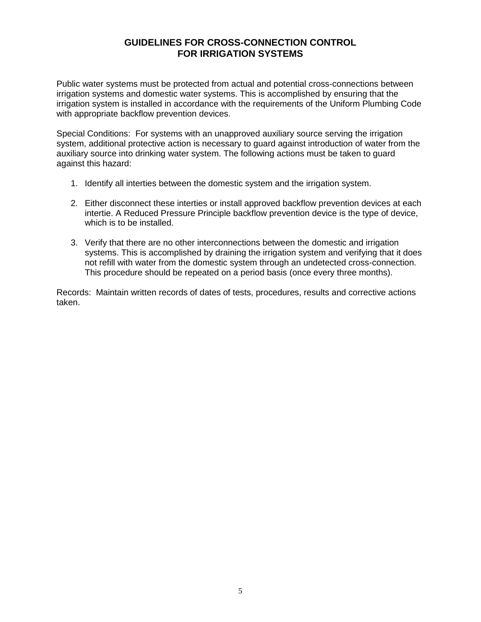# **GUIDELINES FOR CROSS-CONNECTION CONTROL FOR IRRIGATION SYSTEMS**

Public water systems must be protected from actual and potential cross-connections between irrigation systems and domestic water systems. This is accomplished by ensuring that the irrigation system is installed in accordance with the requirements of the Uniform Plumbing Code with appropriate backflow prevention devices.

Special Conditions: For systems with an unapproved auxiliary source serving the irrigation system, additional protective action is necessary to guard against introduction of water from the auxiliary source into drinking water system. The following actions must be taken to guard against this hazard:

- 1. Identify all interties between the domestic system and the irrigation system.
- 2. Either disconnect these interties or install approved backflow prevention devices at each intertie. A Reduced Pressure Principle backflow prevention device is the type of device, which is to be installed.
- 3. Verify that there are no other interconnections between the domestic and irrigation systems. This is accomplished by draining the irrigation system and verifying that it does not refill with water from the domestic system through an undetected cross-connection. This procedure should be repeated on a period basis (once every three months).

Records: Maintain written records of dates of tests, procedures, results and corrective actions taken.